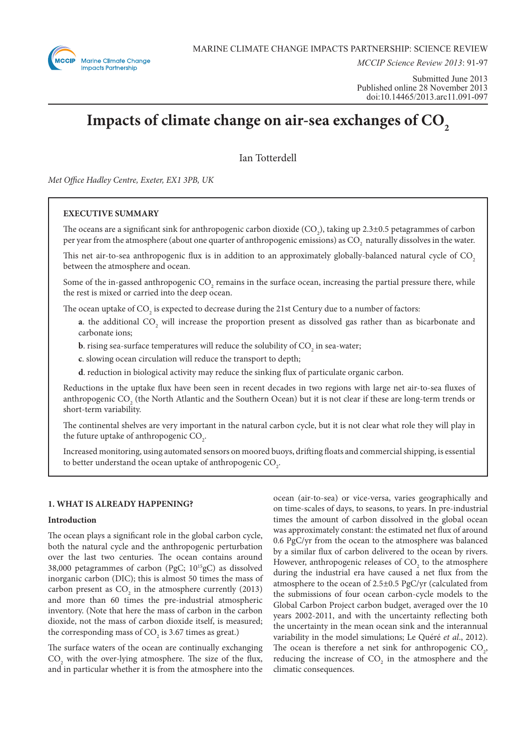

*MCCIP Science Review 2013*: 91-97

Submitted June 2013 Published online 28 November 2013 doi:10.14465/2013.arc11.091-097

# Impacts of climate change on air-sea exchanges of CO<sub>2</sub>

Ian Totterdell

*Met Office Hadley Centre, Exeter, EX1 3PB, UK*

# **EXECUTIVE SUMMARY**

The oceans are a significant sink for anthropogenic carbon dioxide  $(CO_2)$ , taking up 2.3±0.5 petagrammes of carbon per year from the atmosphere (about one quarter of anthropogenic emissions) as  $\rm{CO}_{2}$  naturally dissolves in the water.

This net air-to-sea anthropogenic flux is in addition to an approximately globally-balanced natural cycle of  $CO<sub>2</sub>$ between the atmosphere and ocean.

Some of the in-gassed anthropogenic  $\text{CO}_2$  remains in the surface ocean, increasing the partial pressure there, while the rest is mixed or carried into the deep ocean.

The ocean uptake of CO<sub>2</sub> is expected to decrease during the 21st Century due to a number of factors:

**a**. the additional  $CO_2$  will increase the proportion present as dissolved gas rather than as bicarbonate and carbonate ions;

**b**. rising sea-surface temperatures will reduce the solubility of  $\mathrm{CO}_2^{}$  in sea-water;

**c**. slowing ocean circulation will reduce the transport to depth;

**d**. reduction in biological activity may reduce the sinking flux of particulate organic carbon.

Reductions in the uptake flux have been seen in recent decades in two regions with large net air-to-sea fluxes of anthropogenic  $\mathrm{CO}_2$  (the North Atlantic and the Southern Ocean) but it is not clear if these are long-term trends or short-term variability.

The continental shelves are very important in the natural carbon cycle, but it is not clear what role they will play in the future uptake of anthropogenic  $\mathrm{CO}_2$ .

Increased monitoring, using automated sensors on moored buoys, drifting floats and commercial shipping, is essential to better understand the ocean uptake of anthropogenic  $\mathrm{CO}_\text{2}$ .

# **1. WHAT IS ALREADY HAPPENING?**

# **Introduction**

The ocean plays a significant role in the global carbon cycle, both the natural cycle and the anthropogenic perturbation over the last two centuries. The ocean contains around 38,000 petagrammes of carbon (PgC; 1015gC) as dissolved inorganic carbon (DIC); this is almost 50 times the mass of carbon present as  $CO<sub>2</sub>$  in the atmosphere currently (2013) and more than 60 times the pre-industrial atmospheric inventory. (Note that here the mass of carbon in the carbon dioxide, not the mass of carbon dioxide itself, is measured; the corresponding mass of  $CO_2$  is 3.67 times as great.)

The surface waters of the ocean are continually exchanging  $CO<sub>2</sub>$  with the over-lying atmosphere. The size of the flux, and in particular whether it is from the atmosphere into the

ocean (air-to-sea) or vice-versa, varies geographically and on time-scales of days, to seasons, to years. In pre-industrial times the amount of carbon dissolved in the global ocean was approximately constant: the estimated net flux of around 0.6 PgC/yr from the ocean to the atmosphere was balanced by a similar flux of carbon delivered to the ocean by rivers. However, anthropogenic releases of  $CO<sub>2</sub>$  to the atmosphere during the industrial era have caused a net flux from the atmosphere to the ocean of 2.5±0.5 PgC/yr (calculated from the submissions of four ocean carbon-cycle models to the Global Carbon Project carbon budget, averaged over the 10 years 2002-2011, and with the uncertainty reflecting both the uncertainty in the mean ocean sink and the interannual variability in the model simulations; Le Quéré *et al*., 2012). The ocean is therefore a net sink for anthropogenic  $CO<sub>2</sub>$ , reducing the increase of  $CO<sub>2</sub>$  in the atmosphere and the climatic consequences.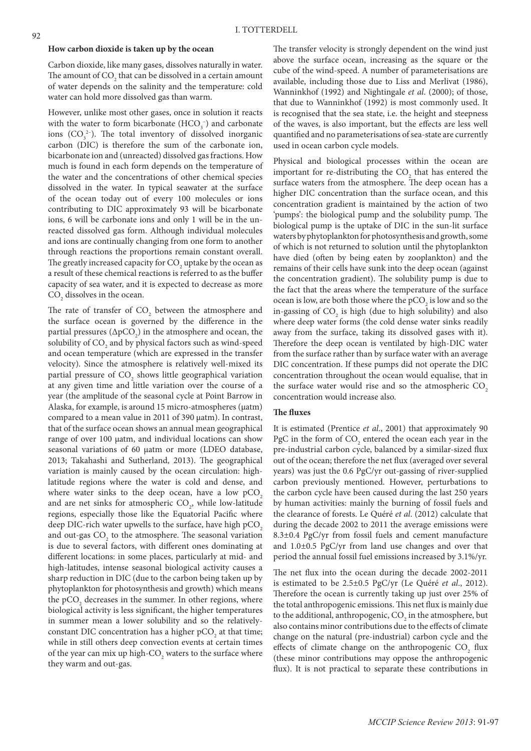#### **How carbon dioxide is taken up by the ocean**

Carbon dioxide, like many gases, dissolves naturally in water. The amount of  $\mathrm{CO}_2$  that can be dissolved in a certain amount of water depends on the salinity and the temperature: cold water can hold more dissolved gas than warm.

However, unlike most other gases, once in solution it reacts with the water to form bicarbonate  $(HCO<sub>3</sub><sup>-</sup>)$  and carbonate ions  $(CO_3^2)$ . The total inventory of dissolved inorganic carbon (DIC) is therefore the sum of the carbonate ion, bicarbonate ion and (unreacted) dissolved gas fractions. How much is found in each form depends on the temperature of the water and the concentrations of other chemical species dissolved in the water. In typical seawater at the surface of the ocean today out of every 100 molecules or ions contributing to DIC approximately 93 will be bicarbonate ions, 6 will be carbonate ions and only 1 will be in the unreacted dissolved gas form. Although individual molecules and ions are continually changing from one form to another through reactions the proportions remain constant overall. The greatly increased capacity for  $\mathrm{CO}_2$  uptake by the ocean as a result of these chemical reactions is referred to as the buffer capacity of sea water, and it is expected to decrease as more  $\mathrm{CO}_2$  dissolves in the ocean.

The rate of transfer of  $CO<sub>2</sub>$  between the atmosphere and the surface ocean is governed by the difference in the partial pressures  $(\Delta p CO_2)$  in the atmosphere and ocean, the solubility of  $\mathrm{CO}_\mathrm{2}$  and by physical factors such as wind-speed and ocean temperature (which are expressed in the transfer velocity). Since the atmosphere is relatively well-mixed its partial pressure of  $\mathrm{CO}_2$  shows little geographical variation at any given time and little variation over the course of a year (the amplitude of the seasonal cycle at Point Barrow in Alaska, for example, is around 15 micro-atmospheres (μatm) compared to a mean value in 2011 of 390 μatm). In contrast, that of the surface ocean shows an annual mean geographical range of over 100 μatm, and individual locations can show seasonal variations of 60 μatm or more (LDEO database, 2013; Takahashi and Sutherland, 2013). The geographical variation is mainly caused by the ocean circulation: highlatitude regions where the water is cold and dense, and where water sinks to the deep ocean, have a low  $pCO<sub>2</sub>$ and are net sinks for atmospheric  $CO<sub>2</sub>$ , while low-latitude regions, especially those like the Equatorial Pacific where deep DIC-rich water upwells to the surface, have high  $pCO<sub>2</sub>$ and out-gas  $\text{CO}_2$  to the atmosphere. The seasonal variation is due to several factors, with different ones dominating at different locations: in some places, particularly at mid- and high-latitudes, intense seasonal biological activity causes a sharp reduction in DIC (due to the carbon being taken up by phytoplankton for photosynthesis and growth) which means the  $pCO<sub>2</sub>$  decreases in the summer. In other regions, where biological activity is less significant, the higher temperatures in summer mean a lower solubility and so the relativelyconstant DIC concentration has a higher  $pCO<sub>2</sub>$  at that time; while in still others deep convection events at certain times of the year can mix up high-CO<sub>2</sub> waters to the surface where they warm and out-gas.

The transfer velocity is strongly dependent on the wind just above the surface ocean, increasing as the square or the cube of the wind-speed. A number of parameterisations are available, including those due to Liss and Merlivat (1986), Wanninkhof (1992) and Nightingale *et al*. (2000); of those, that due to Wanninkhof (1992) is most commonly used. It is recognised that the sea state, i.e. the height and steepness of the waves, is also important, but the effects are less well quantified and no parameterisations of sea-state are currently used in ocean carbon cycle models.

Physical and biological processes within the ocean are important for re-distributing the  $CO<sub>2</sub>$  that has entered the surface waters from the atmosphere. The deep ocean has a higher DIC concentration than the surface ocean, and this concentration gradient is maintained by the action of two 'pumps': the biological pump and the solubility pump. The biological pump is the uptake of DIC in the sun-lit surface waters by phytoplankton for photosynthesis and growth, some of which is not returned to solution until the phytoplankton have died (often by being eaten by zooplankton) and the remains of their cells have sunk into the deep ocean (against the concentration gradient). The solubility pump is due to the fact that the areas where the temperature of the surface ocean is low, are both those where the  $\tt pCO_2$  is low and so the in-gassing of  $CO_2$  is high (due to high solubility) and also where deep water forms (the cold dense water sinks readily away from the surface, taking its dissolved gases with it). Therefore the deep ocean is ventilated by high-DIC water from the surface rather than by surface water with an average DIC concentration. If these pumps did not operate the DIC concentration throughout the ocean would equalise, that in the surface water would rise and so the atmospheric  $CO<sub>2</sub>$ concentration would increase also.

#### **The fluxes**

It is estimated (Prentice *et al*., 2001) that approximately 90 PgC in the form of  $CO_2$  entered the ocean each year in the pre-industrial carbon cycle, balanced by a similar-sized flux out of the ocean; therefore the net flux (averaged over several years) was just the 0.6 PgC/yr out-gassing of river-supplied carbon previously mentioned. However, perturbations to the carbon cycle have been caused during the last 250 years by human activities: mainly the burning of fossil fuels and the clearance of forests. Le Quéré *et al*. (2012) calculate that during the decade 2002 to 2011 the average emissions were 8.3±0.4 PgC/yr from fossil fuels and cement manufacture and 1.0±0.5 PgC/yr from land use changes and over that period the annual fossil fuel emissions increased by 3.1%/yr.

The net flux into the ocean during the decade 2002-2011 is estimated to be 2.5±0.5 PgC/yr (Le Quéré *et al*., 2012). Therefore the ocean is currently taking up just over 25% of the total anthropogenic emissions. This net flux is mainly due to the additional, anthropogenic,  $\mathrm{CO}_2$  in the atmosphere, but also contains minor contributions due to the effects of climate change on the natural (pre-industrial) carbon cycle and the effects of climate change on the anthropogenic  $CO<sub>2</sub>$  flux (these minor contributions may oppose the anthropogenic flux). It is not practical to separate these contributions in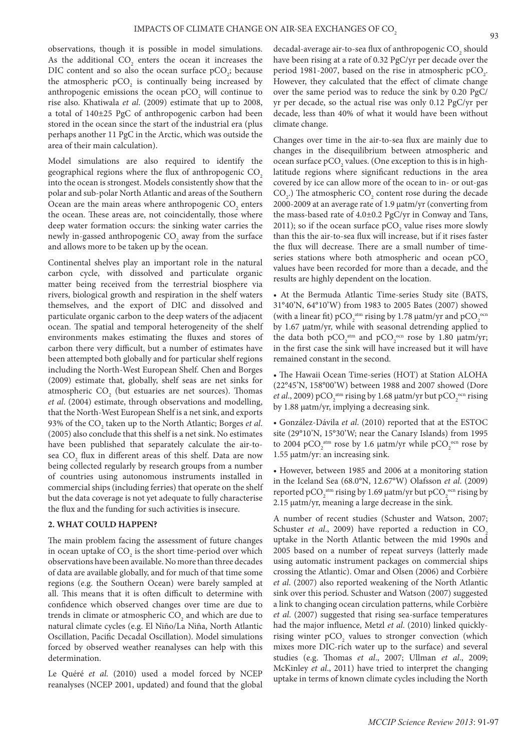observations, though it is possible in model simulations. As the additional  $CO<sub>2</sub>$  enters the ocean it increases the DIC content and so also the ocean surface  $pCO_2$ ; because the atmospheric  $pCO<sub>2</sub>$  is continually being increased by anthropogenic emissions the ocean  $pCO_2$  will continue to rise also. Khatiwala *et al*. (2009) estimate that up to 2008, a total of 140±25 PgC of anthropogenic carbon had been stored in the ocean since the start of the industrial era (plus perhaps another 11 PgC in the Arctic, which was outside the area of their main calculation).

Model simulations are also required to identify the geographical regions where the flux of anthropogenic CO<sub>2</sub> into the ocean is strongest. Models consistently show that the polar and sub-polar North Atlantic and areas of the Southern Ocean are the main areas where anthropogenic  $CO_2$  enters the ocean. These areas are, not coincidentally, those where deep water formation occurs: the sinking water carries the newly in-gassed anthropogenic  $\mathrm{CO}_\mathrm{2}$  away from the surface and allows more to be taken up by the ocean.

Continental shelves play an important role in the natural carbon cycle, with dissolved and particulate organic matter being received from the terrestrial biosphere via rivers, biological growth and respiration in the shelf waters themselves, and the export of DIC and dissolved and particulate organic carbon to the deep waters of the adjacent ocean. The spatial and temporal heterogeneity of the shelf environments makes estimating the fluxes and stores of carbon there very difficult, but a number of estimates have been attempted both globally and for particular shelf regions including the North-West European Shelf. Chen and Borges (2009) estimate that, globally, shelf seas are net sinks for atmospheric  $CO<sub>2</sub>$  (but estuaries are net sources). Thomas *et al*. (2004) estimate, through observations and modelling, that the North-West European Shelf is a net sink, and exports 93% of the CO<sub>2</sub> taken up to the North Atlantic; Borges *et al*. (2005) also conclude that this shelf is a net sink. No estimates have been published that separately calculate the air-tosea  $\mathrm{CO}_2$  flux in different areas of this shelf. Data are now being collected regularly by research groups from a number of countries using autonomous instruments installed in commercial ships (including ferries) that operate on the shelf but the data coverage is not yet adequate to fully characterise the flux and the funding for such activities is insecure.

## **2. WHAT COULD HAPPEN?**

The main problem facing the assessment of future changes in ocean uptake of  $\mathrm{CO}_2$  is the short time-period over which observations have been available. No more than three decades of data are available globally, and for much of that time some regions (e.g. the Southern Ocean) were barely sampled at all. This means that it is often difficult to determine with confidence which observed changes over time are due to trends in climate or atmospheric  $\mathrm{CO}_2$  and which are due to natural climate cycles (e.g. El Niño/La Niña, North Atlantic Oscillation, Pacific Decadal Oscillation). Model simulations forced by observed weather reanalyses can help with this determination.

Le Quéré *et al*. (2010) used a model forced by NCEP reanalyses (NCEP 2001, updated) and found that the global

decadal-average air-to-sea flux of anthropogenic  $\mathrm{CO}_2$  should have been rising at a rate of 0.32 PgC/yr per decade over the period 1981-2007, based on the rise in atmospheric  $pCO_2$ . However, they calculated that the effect of climate change over the same period was to reduce the sink by 0.20 PgC/ yr per decade, so the actual rise was only 0.12 PgC/yr per decade, less than 40% of what it would have been without climate change.

Changes over time in the air-to-sea flux are mainly due to changes in the disequilibrium between atmospheric and ocean surface  $pCO_2$  values. (One exception to this is in highlatitude regions where significant reductions in the area covered by ice can allow more of the ocean to in- or out-gas  $CO<sub>2</sub>$ .) The atmospheric  $CO<sub>2</sub>$  content rose during the decade 2000-2009 at an average rate of 1.9 μatm/yr (converting from the mass-based rate of 4.0±0.2 PgC/yr in Conway and Tans, 2011); so if the ocean surface  $pCO_2$  value rises more slowly than this the air-to-sea flux will increase, but if it rises faster the flux will decrease. There are a small number of timeseries stations where both atmospheric and ocean  $pCO<sub>2</sub>$ values have been recorded for more than a decade, and the results are highly dependent on the location.

• At the Bermuda Atlantic Time-series Study site (BATS, 31°40'N, 64°10'W) from 1983 to 2005 Bates (2007) showed (with a linear fit) pCO<sub>2</sub><sup>atm</sup> rising by 1.78  $\mu$ atm/yr and pCO<sub>2</sub><sup>ocn</sup> by 1.67 μatm/yr, while with seasonal detrending applied to the data both  $pCO_2^{\text{atm}}$  and  $pCO_2^{\text{ocn}}$  rose by 1.80  $\mu \text{atm/yr}$ ; in the first case the sink will have increased but it will have remained constant in the second.

• The Hawaii Ocean Time-series (HOT) at Station ALOHA (22°45'N, 158°00'W) between 1988 and 2007 showed (Dore *et al.*, 2009) pCO<sub>2</sub><sup> $\text{atm}}$ </sup> rising by 1.68  $\mu$ atm/yr but pCO<sub>2</sub><sup>ocn</sup> rising by 1.88 μatm/yr, implying a decreasing sink.

• González-Dávila *et al*. (2010) reported that at the ESTOC site (29°10'N, 15°30'W; near the Canary Islands) from 1995 to 2004 pCO<sub>2</sub><sup>atm</sup> rose by 1.6  $\mu$ atm/yr while pCO<sub>2</sub><sup>ocn</sup> rose by 1.55 μatm/yr: an increasing sink.

• However, between 1985 and 2006 at a monitoring station in the Iceland Sea (68.0°N, 12.67°W) Olafsson *et al*. (2009) reported  $pCO_2^{\text{ atm}}$  rising by 1.69  $\mu$ atm/yr but  $pCO_2^{\text{ocn}}$  rising by 2.15 μatm/yr, meaning a large decrease in the sink.

A number of recent studies (Schuster and Watson, 2007; Schuster *et al.*, 2009) have reported a reduction in CO<sub>2</sub> uptake in the North Atlantic between the mid 1990s and 2005 based on a number of repeat surveys (latterly made using automatic instrument packages on commercial ships crossing the Atlantic). Omar and Olsen (2006) and Corbière *et al*. (2007) also reported weakening of the North Atlantic sink over this period. Schuster and Watson (2007) suggested a link to changing ocean circulation patterns, while Corbière *et al*. (2007) suggested that rising sea-surface temperatures had the major influence, Metzl *et al*. (2010) linked quicklyrising winter  $pCO<sub>2</sub>$  values to stronger convection (which mixes more DIC-rich water up to the surface) and several studies (e.g. Thomas *et al*., 2007; Ullman *et al*., 2009; McKinley *et al*., 2011) have tried to interpret the changing uptake in terms of known climate cycles including the North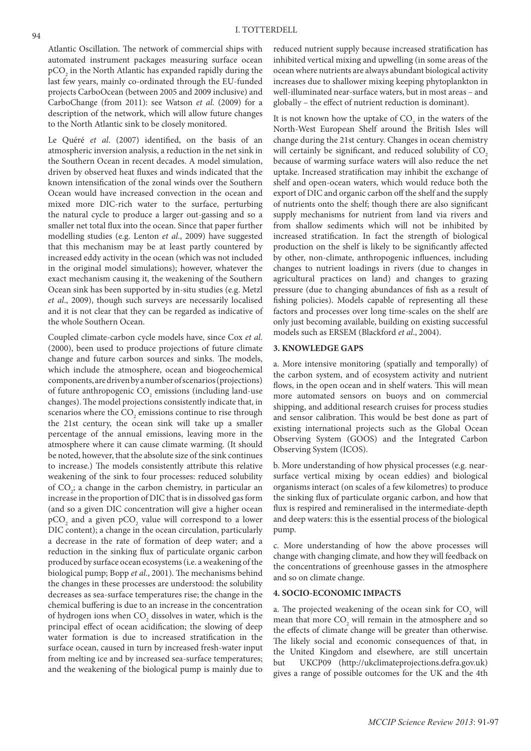Atlantic Oscillation. The network of commercial ships with automated instrument packages measuring surface ocean  $\tt pCO<sub>2</sub>$  in the North Atlantic has expanded rapidly during the last few years, mainly co-ordinated through the EU-funded projects CarboOcean (between 2005 and 2009 inclusive) and CarboChange (from 2011): see Watson *et al*. (2009) for a description of the network, which will allow future changes to the North Atlantic sink to be closely monitored.

Le Quéré *et al*. (2007) identified, on the basis of an atmospheric inversion analysis, a reduction in the net sink in the Southern Ocean in recent decades. A model simulation, driven by observed heat fluxes and winds indicated that the known intensification of the zonal winds over the Southern Ocean would have increased convection in the ocean and mixed more DIC-rich water to the surface, perturbing the natural cycle to produce a larger out-gassing and so a smaller net total flux into the ocean. Since that paper further modelling studies (e.g. Lenton *et al*., 2009) have suggested that this mechanism may be at least partly countered by increased eddy activity in the ocean (which was not included in the original model simulations); however, whatever the exact mechanism causing it, the weakening of the Southern Ocean sink has been supported by in-situ studies (e.g. Metzl *et al*., 2009), though such surveys are necessarily localised and it is not clear that they can be regarded as indicative of the whole Southern Ocean.

Coupled climate-carbon cycle models have, since Cox *et al*. (2000), been used to produce projections of future climate change and future carbon sources and sinks. The models, which include the atmosphere, ocean and biogeochemical components, are driven by a number of scenarios (projections) of future anthropogenic  $\mathrm{CO}_2$  emissions (including land-use changes). The model projections consistently indicate that, in scenarios where the  $\mathrm{CO}_2$  emissions continue to rise through the 21st century, the ocean sink will take up a smaller percentage of the annual emissions, leaving more in the atmosphere where it can cause climate warming. (It should be noted, however, that the absolute size of the sink continues to increase.) The models consistently attribute this relative weakening of the sink to four processes: reduced solubility of CO<sub>2</sub>; a change in the carbon chemistry, in particular an increase in the proportion of DIC that is in dissolved gas form (and so a given DIC concentration will give a higher ocean  $\tt pCO<sub>2</sub>$  and a given  $\tt pCO<sub>2</sub>$  value will correspond to a lower DIC content); a change in the ocean circulation, particularly a decrease in the rate of formation of deep water; and a reduction in the sinking flux of particulate organic carbon produced by surface ocean ecosystems (i.e. a weakening of the biological pump; Bopp *et al*., 2001). The mechanisms behind the changes in these processes are understood: the solubility decreases as sea-surface temperatures rise; the change in the chemical buffering is due to an increase in the concentration of hydrogen ions when  $\mathrm{CO}_2$  dissolves in water, which is the principal effect of ocean acidification; the slowing of deep water formation is due to increased stratification in the surface ocean, caused in turn by increased fresh-water input from melting ice and by increased sea-surface temperatures; and the weakening of the biological pump is mainly due to

reduced nutrient supply because increased stratification has inhibited vertical mixing and upwelling (in some areas of the ocean where nutrients are always abundant biological activity increases due to shallower mixing keeping phytoplankton in well-illuminated near-surface waters, but in most areas – and globally – the effect of nutrient reduction is dominant).

It is not known how the uptake of  $CO_2$  in the waters of the North-West European Shelf around the British Isles will change during the 21st century. Changes in ocean chemistry will certainly be significant, and reduced solubility of CO<sub>2</sub> because of warming surface waters will also reduce the net uptake. Increased stratification may inhibit the exchange of shelf and open-ocean waters, which would reduce both the export of DIC and organic carbon off the shelf and the supply of nutrients onto the shelf; though there are also significant supply mechanisms for nutrient from land via rivers and from shallow sediments which will not be inhibited by increased stratification. In fact the strength of biological production on the shelf is likely to be significantly affected by other, non-climate, anthropogenic influences, including changes to nutrient loadings in rivers (due to changes in agricultural practices on land) and changes to grazing pressure (due to changing abundances of fish as a result of fishing policies). Models capable of representing all these factors and processes over long time-scales on the shelf are only just becoming available, building on existing successful models such as ERSEM (Blackford *et al*., 2004).

# **3. KNOWLEDGE GAPS**

a. More intensive monitoring (spatially and temporally) of the carbon system, and of ecosystem activity and nutrient flows, in the open ocean and in shelf waters. This will mean more automated sensors on buoys and on commercial shipping, and additional research cruises for process studies and sensor calibration. This would be best done as part of existing international projects such as the Global Ocean Observing System (GOOS) and the Integrated Carbon Observing System (ICOS).

b. More understanding of how physical processes (e.g. nearsurface vertical mixing by ocean eddies) and biological organisms interact (on scales of a few kilometres) to produce the sinking flux of particulate organic carbon, and how that flux is respired and remineralised in the intermediate-depth and deep waters: this is the essential process of the biological pump.

c. More understanding of how the above processes will change with changing climate, and how they will feedback on the concentrations of greenhouse gasses in the atmosphere and so on climate change.

# **4. SOCIO-ECONOMIC IMPACTS**

a. The projected weakening of the ocean sink for  $CO_2$  will mean that more  $CO_2$  will remain in the atmosphere and so the effects of climate change will be greater than otherwise. The likely social and economic consequences of that, in the United Kingdom and elsewhere, are still uncertain but UKCP09 (http://ukclimateprojections.defra.gov.uk) gives a range of possible outcomes for the UK and the 4th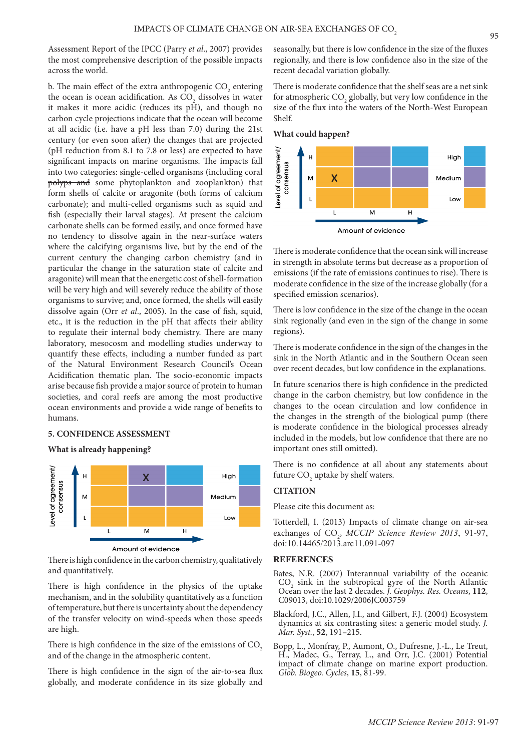Assessment Report of the IPCC (Parry *et al*., 2007) provides the most comprehensive description of the possible impacts across the world.

b. The main effect of the extra anthropogenic  $\mathrm{CO}_2$  entering the ocean is ocean acidification. As  $\mathrm{CO}_2$  dissolves in water it makes it more acidic (reduces its pH), and though no carbon cycle projections indicate that the ocean will become at all acidic (i.e. have a pH less than 7.0) during the 21st century (or even soon after) the changes that are projected (pH reduction from 8.1 to 7.8 or less) are expected to have significant impacts on marine organisms. The impacts fall into two categories: single-celled organisms (including coral polyps and some phytoplankton and zooplankton) that form shells of calcite or aragonite (both forms of calcium carbonate); and multi-celled organisms such as squid and fish (especially their larval stages). At present the calcium carbonate shells can be formed easily, and once formed have no tendency to dissolve again in the near-surface waters where the calcifying organisms live, but by the end of the current century the changing carbon chemistry (and in particular the change in the saturation state of calcite and aragonite) will mean that the energetic cost of shell-formation will be very high and will severely reduce the ability of those organisms to survive; and, once formed, the shells will easily dissolve again (Orr *et al*., 2005). In the case of fish, squid, etc., it is the reduction in the pH that affects their ability to regulate their internal body chemistry. There are many laboratory, mesocosm and modelling studies underway to quantify these effects, including a number funded as part of the Natural Environment Research Council's Ocean Acidification thematic plan. The socio-economic impacts arise because fish provide a major source of protein to human societies, and coral reefs are among the most productive ocean environments and provide a wide range of benefits to humans.

# **5. CONFIDENCE ASSESSMENT**

### **What is already happening?**



There is high confidence in the carbon chemistry, qualitatively and quantitatively.

There is high confidence in the physics of the uptake mechanism, and in the solubility quantitatively as a function of temperature, but there is uncertainty about the dependency of the transfer velocity on wind-speeds when those speeds are high.

There is high confidence in the size of the emissions of  $CO<sub>2</sub>$ and of the change in the atmospheric content.

There is high confidence in the sign of the air-to-sea flux globally, and moderate confidence in its size globally and

seasonally, but there is low confidence in the size of the fluxes regionally, and there is low confidence also in the size of the recent decadal variation globally.

There is moderate confidence that the shelf seas are a net sink for atmospheric  $\mathrm{CO}_2$  globally, but very low confidence in the size of the flux into the waters of the North-West European Shelf.





There is moderate confidence that the ocean sink will increase in strength in absolute terms but decrease as a proportion of emissions (if the rate of emissions continues to rise). There is moderate confidence in the size of the increase globally (for a specified emission scenarios).

There is low confidence in the size of the change in the ocean sink regionally (and even in the sign of the change in some regions).

There is moderate confidence in the sign of the changes in the sink in the North Atlantic and in the Southern Ocean seen over recent decades, but low confidence in the explanations.

In future scenarios there is high confidence in the predicted change in the carbon chemistry, but low confidence in the changes to the ocean circulation and low confidence in the changes in the strength of the biological pump (there is moderate confidence in the biological processes already included in the models, but low confidence that there are no important ones still omitted).

There is no confidence at all about any statements about future  $CO_2$  uptake by shelf waters.

# **CITATION**

Please cite this document as:

Totterdell, I. (2013) Impacts of climate change on air-sea exchanges of CO<sub>2</sub>, MCCIP Science Review 2013, 91-97, doi:10.14465/2013.arc11.091-097

#### **REFERENCES**

- Bates, N.R. (2007) Interannual variability of the oceanic  $CO<sub>2</sub>$  sink in the subtropical gyre of the North Atlantic Ocean over the last 2 decades. *J. Geophys. Res. Oceans*, **112**, C09013, doi:10.1029/2006JC003759
- Blackford, J.C., Allen, J.I., and Gilbert, F.J. (2004) Ecosystem dynamics at six contrasting sites: a generic model study. *J. Mar. Syst.*, **52**, 191–215.
- Bopp, L., Monfray, P., Aumont, O., Dufresne, J.-L., Le Treut, H., Madec, G., Terray, L., and Orr, J.C. (2001) Potential impact of climate change on marine export production. *Glob. Biogeo. Cycles*, **15**, 81-99.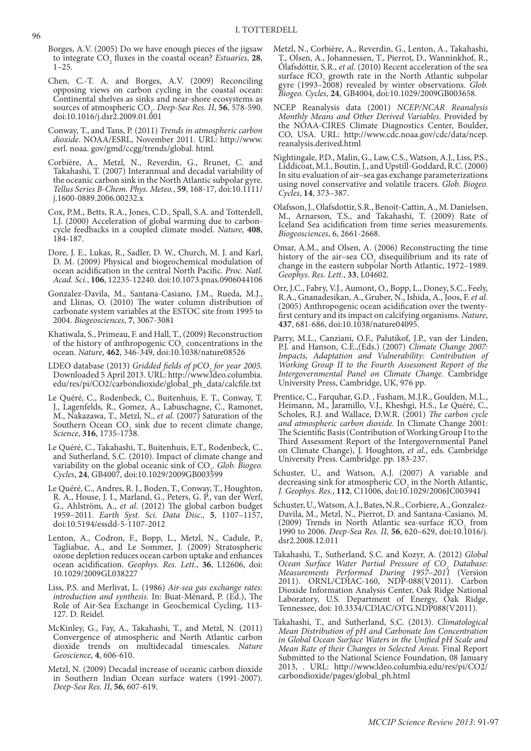- Borges, A.V. (2005) Do we have enough pieces of the jigsaw to integrate  $CO_2$  fluxes in the coastal ocean? *Estuaries*, **28**,  $1-25.$
- Chen, C.-T. A. and Borges, A.V. (2009) Reconciling opposing views on carbon cycling in the coastal ocean: Continental shelves as sinks and near-shore ecosystems as sources of atmospheric CO2 . *Deep-Sea Res. II*, **56**, 578-590. doi:10.1016/j.dsr2.2009.01.001
- Conway, T., and Tans, P. (2011) *Trends in atmospheric carbon dioxide*. NOAA/ESRL, November 2011. URL: http://www. esrl. noaa. gov/gmd/ccgg/trends/global. html.
- Corbière, A., Metzl, N., Reverdin, G., Brunet, C. and Takahashi, T. (2007) Interannual and decadal variability of the oceanic carbon sink in the North Atlantic subpolar gyre. *Tellus Series B-Chem. Phys. Meteo.*, **59**, 168-17, doi:10.1111/ j.1600-0889.2006.00232.x
- Cox, P.M., Betts, R.A., Jones, C.D., Spall, S.A. and Totterdell, I.J. (2000) Acceleration of global warming due to carboncycle feedbacks in a coupled climate model. *Nature*, **408**, 184-187.
- Dore, J. E., Lukas, R., Sadler, D. W., Church, M. J. and Karl, D. M. (2009) Physical and biogeochemical modulation of ocean acidification in the central North Pacific. *Proc. Natl. Acad. Sci.*, **106**, 12235-12240. doi:10.1073.pnas.0906044106
- Gonzalez-Davila, M., Santana-Casiano, J.M., Rueda, M.J., and Llinas, O. (2010) The water column distribution of carbonate system variables at the ESTOC site from 1995 to 2004. *Biogeosciences*, **7**, 3067-3081
- Khatiwala, S., Primeau, F. and Hall, T., (2009) Reconstruction of the history of anthropogenic  $CO<sub>2</sub>$  concentrations in the ocean. *Nature*, **462**, 346-349, doi:10.1038/nature08526
- LDEO database (2013) *Gridded fields of pCO<sub>2</sub> for year 2005.* Downloaded 5 April 2013. URL: http://www.ldeo.columbia. edu/res/pi/CO2/carbondioxide/global\_ph\_data/calcfile.txt
- Le Quéré, C., Rodenbeck, C., Buitenhuis, E. T., Conway, T. J., Lagenfelds, R., Gomez, A., Labuschagne, C., Ramonet, M., Nakazawa, T., Metzl, N., *et al*. (2007) Saturation of the Southern Ocean  $CO<sub>2</sub>$  sink due to recent climate change, *Science*, **316**, 1735-1738.
- Le Quéré, C., Takahashi, T., Buitenhuis, E.T., Rodenbeck, C., and Sutherland, S.C. (2010). Impact of climate change and variability on the global oceanic sink of CO<sub>2</sub>. *Glob. Biogeo.*<br>
Glob. **Biogeo.** *Cycles*, **24**, GB4007, doi:10.1029/2009GB003599
- Le Quéré, C., Andres, R. J., Boden, T., Conway, T., Houghton, R. A., House, J. I., Marland, G., Peters, G. P., van der Werf, G., Ahlström, A., *et al*. (2012) The global carbon budget 1959–2011. *Earth Syst. Sci. Data Disc.,* **5**, 1107–1157, doi:10.5194/essdd-5-1107-2012
- Lenton, A., Codron, F., Bopp, L., Metzl, N., Cadule, P., Tagliabue, A., and Le Sommer, J. (2009) Stratospheric ozone depletion reduces ocean carbon uptake and enhances ocean acidification. *Geophys. Res. Lett.*, **36**, L12606, doi: 10.1029/2009GL038227
- Liss, P.S. and Merlivat, L. (1986) *Air-sea gas exchange rates: introduction and synthesis.* In: Buat-Ménard, P. (Ed.), The Role of Air-Sea Exchange in Geochemical Cycling, 113- 127. D. Reidel.
- McKinley, G., Fay, A., Takahashi, T., and Metzl, N. (2011) Convergence of atmospheric and North Atlantic carbon dioxide trends on multidecadal timescales. *Nature Geoscience*, **4**, 606-610.
- Metzl, N. (2009) Decadal increase of oceanic carbon dioxide in Southern Indian Ocean surface waters (1991-2007). *Deep-Sea Res. II*, **56**, 607-619.
- Metzl, N., Corbière, A., Reverdin, G., Lenton, A., Takahashi, T., Olsen, A., Johannessen, T., Pierrot, D., Wanninkhof, R., Ólafsdóttir, S.R., *et al*. (2010) Recent acceleration of the sea surface  $fCO<sub>2</sub>$  growth rate in the North Atlantic subpolar gyre (1993–2008) revealed by winter observations. *Glob. Biogeo. Cycles*, **24**, GB4004, doi:10.1029/2009GB003658.
- NCEP Reanalysis data (2001) *NCEP/NCAR Reanalysis Monthly Means and Other Derived Variables*. Provided by the NOAA-CIRES Climate Diagnostics Center, Boulder, CO, USA. URL: http://www.cdc.noaa.gov/cdc/data/ncep. reanalysis.derived.html
- Nightingale, P.D., Malin, G., Law, C.S., Watson, A.J., Liss, P.S., Liddicoat, M.I., Boutin, J., and Upstill-Goddard, R.C. (2000) In situ evaluation of air–sea gas exchange parameterizations using novel conservative and volatile tracers. *Glob. Biogeo. Cycles*, **14**, 373–387.
- Olafsson, J., Olafsdottir, S.R., Benoit-Cattin, A., M. Danielsen, M., Arnarson, T.S., and Takahashi, T. (2009) Rate of Iceland Sea acidification from time series measurements. *Biogeosciences*, 6, 2661-2668.
- Omar, A.M., and Olsen, A. (2006) Reconstructing the time history of the air–sea  $CO<sub>2</sub>$  disequilibrium and its rate of change in the eastern subpolar North Atlantic, 1972–1989. *Geophys. Res. Lett.*, **33**, L04602.
- Orr, J.C., Fabry, V.J., Aumont, O., Bopp, L., Doney, S.C., Feely, R.A., Gnanadesikan, A., Gruber, N., Ishida, A., Joos, F. *et al.* (2005) Anthropogenic ocean acidification over the twentyfirst century and its impact on calcifying organisms. *Nature*, **437**, 681-686, doi:10.1038/nature04095.
- Parry, M.L., Canziani, O.F., Palutikof, J.P., van der Linden, P.J. and Hanson, C.E.,(Eds.) (2007) *Climate Change 2007: Impacts, Adaptation and Vulnerability: Contribution of Working Group II to the Fourth Assessment Report of the Intergovernmental Panel on Climate Change*. Cambridge University Press, Cambridge, UK, 976 pp.
- Prentice, C., Farquhar, G.D. , Fasham, M.J.R., Goulden, M.L., Heimann, M., Jaramillo, V.J., Kheshgi, H.S., Le Quéré, C., Scholes, R.J. and Wallace, D.W.R. (2001) *The carbon cycle and atmospheric carbon dioxide*. In Climate Change 2001: The Scientific Basis (Contribution of Working Group I to the Third Assessment Report of the Intergovernmental Panel on Climate Change), J. Houghton, *et al*., eds. Cambridge University Press. Cambridge. pp. 183-237.
- Schuster, U., and Watson, A.J. (2007) A variable and decreasing sink for atmospheric  $CO<sub>2</sub>$  in the North Atlantic, *J. Geophys. Res.*, **112**, C11006, doi:10.1029/2006JC003941
- Schuster, U., Watson, A.J., Bates, N.R., Corbiere, A., Gonzalez-Davila, M., Metzl, N., Pierrot, D. and Santana-Casiano, M. (2009) Trends in North Atlantic sea-surface  $fCO<sub>2</sub>$  from 1990 to 2006. *Deep-Sea Res. II,* **56**, 620–629, doi:10.1016/j. dsr2.2008.12.011
- Takahashi, T., Sutherland, S.C. and Kozyr, A. (2012) *Global Ocean Surface Water Partial Pressure of CO<sub>2</sub> Database: Measurements Performed During 1957–2011* (Version 2011). ORNL/CDIAC-160, NDP-088(V2011). Carbon Dioxide Information Analysis Center, Oak Ridge National Laboratory, U.S. Department of Energy, Oak Ridge, Tennessee, doi: 10.3334/CDIAC/OTG.NDP088(V2011).
- Takahashi, T., and Sutherland, S.C. (2013). *Climatological Mean Distribution of pH and Carbonate Ion Concentration in Global Ocean Surface Waters in the Unified pH Scale and Mean Rate of their Changes in Selected Areas.* Final Report Submitted to the National Science Foundation, 08 January 2013, . URL: http://www.ldeo.columbia.edu/res/pi/CO2/ carbondioxide/pages/global\_ph.html